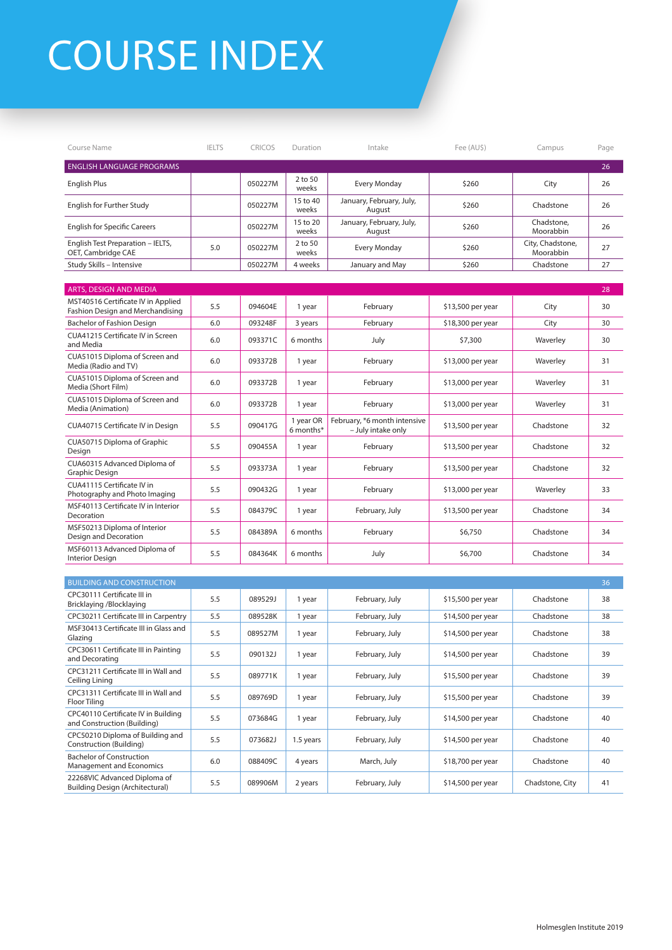## COURSE INDEX

| Course Name                                                            | <b>IELTS</b> | CRICOS  | Duration               | Intake                                             | Fee (AUS)         | Campus                        | Page |
|------------------------------------------------------------------------|--------------|---------|------------------------|----------------------------------------------------|-------------------|-------------------------------|------|
| <b>ENGLISH LANGUAGE PROGRAMS</b>                                       |              |         |                        |                                                    |                   |                               | 26   |
| English Plus                                                           |              | 050227M | 2 to 50<br>weeks       | <b>Every Monday</b>                                | \$260             | City                          | 26   |
| English for Further Study                                              |              | 050227M | 15 to 40<br>weeks      | January, February, July,<br>August                 | \$260             | Chadstone                     | 26   |
| <b>English for Specific Careers</b>                                    |              | 050227M | 15 to 20<br>weeks      | January, February, July,<br>August                 | \$260             | Chadstone,<br>Moorabbin       | 26   |
| English Test Preparation - IELTS,<br>OET, Cambridge CAE                | 5.0          | 050227M | 2 to 50<br>weeks       | <b>Every Monday</b>                                | \$260             | City, Chadstone,<br>Moorabbin | 27   |
| Study Skills - Intensive                                               |              | 050227M | 4 weeks                | January and May                                    | \$260             | Chadstone                     | 27   |
|                                                                        |              |         |                        |                                                    |                   |                               |      |
| ARTS, DESIGN AND MEDIA<br>MST40516 Certificate IV in Applied           |              |         |                        |                                                    |                   |                               | 28   |
| Fashion Design and Merchandising                                       | 5.5          | 094604E | 1 year                 | February                                           | \$13,500 per year | City                          | 30   |
| Bachelor of Fashion Design<br>CUA41215 Certificate IV in Screen        | 6.0          | 093248F | 3 years                | February                                           | \$18,300 per year | City                          | 30   |
| and Media                                                              | 6.0          | 093371C | 6 months               | July                                               | \$7,300           | Waverley                      | 30   |
| CUA51015 Diploma of Screen and<br>Media (Radio and TV)                 | 6.0          | 093372B | 1 year                 | February                                           | \$13,000 per year | Waverley                      | 31   |
| CUA51015 Diploma of Screen and<br>Media (Short Film)                   | 6.0          | 093372B | 1 year                 | February                                           | \$13,000 per year | Waverley                      | 31   |
| CUA51015 Diploma of Screen and<br>Media (Animation)                    | 6.0          | 093372B | 1 year                 | February                                           | \$13,000 per year | Waverley                      | 31   |
| CUA40715 Certificate IV in Design                                      | 5.5          | 090417G | 1 year OR<br>6 months* | February, *6 month intensive<br>- July intake only | \$13,500 per year | Chadstone                     | 32   |
| CUA50715 Diploma of Graphic<br>Design                                  | 5.5          | 090455A | 1 year                 | February                                           | \$13,500 per year | Chadstone                     | 32   |
| CUA60315 Advanced Diploma of<br>Graphic Design                         | 5.5          | 093373A | 1 year                 | February                                           | \$13,500 per year | Chadstone                     | 32   |
| CUA41115 Certificate IV in<br>Photography and Photo Imaging            | 5.5          | 090432G | 1 year                 | February                                           | \$13,000 per year | Waverley                      | 33   |
| MSF40113 Certificate IV in Interior<br>Decoration                      | 5.5          | 084379C | 1 year                 | February, July                                     | \$13,500 per year | Chadstone                     | 34   |
| MSF50213 Diploma of Interior<br>Design and Decoration                  | 5.5          | 084389A | 6 months               | February                                           | \$6,750           | Chadstone                     | 34   |
| MSF60113 Advanced Diploma of<br><b>Interior Design</b>                 | 5.5          | 084364K | 6 months               | July                                               | \$6,700           | Chadstone                     | 34   |
|                                                                        |              |         |                        |                                                    |                   |                               |      |
| <b>BUILDING AND CONSTRUCTION</b>                                       |              |         |                        |                                                    |                   |                               | 36   |
| CPC30111 Certificate III in<br>Bricklaying /Blocklaying                | 5.5          | 089529J | 1 year                 | February, July                                     | \$15,500 per year | Chadstone                     | 38   |
| CPC30211 Certificate III in Carpentry                                  | 5.5          | 089528K | 1 year                 | February, July                                     | \$14,500 per year | Chadstone                     | 38   |
| MSF30413 Certificate III in Glass and<br>Glazing                       | 5.5          | 089527M | 1 year                 | February, July                                     | \$14,500 per year | Chadstone                     | 38   |
| CPC30611 Certificate III in Painting<br>and Decorating                 | 5.5          | 090132J | 1 year                 | February, July                                     | \$14,500 per year | Chadstone                     | 39   |
| CPC31211 Certificate III in Wall and<br>Ceiling Lining                 | 5.5          | 089771K | 1 year                 | February, July                                     | \$15,500 per year | Chadstone                     | 39   |
| CPC31311 Certificate III in Wall and<br>Floor Tiling                   | 5.5          | 089769D | 1 year                 | February, July                                     | \$15,500 per year | Chadstone                     | 39   |
| CPC40110 Certificate IV in Building<br>and Construction (Building)     | 5.5          | 073684G | 1 year                 | February, July                                     | \$14,500 per year | Chadstone                     | 40   |
| CPC50210 Diploma of Building and<br>Construction (Building)            | 5.5          | 073682J | 1.5 years              | February, July                                     | \$14,500 per year | Chadstone                     | 40   |
| <b>Bachelor of Construction</b><br>Management and Economics            | 6.0          | 088409C | 4 years                | March, July                                        | \$18,700 per year | Chadstone                     | 40   |
| 22268VIC Advanced Diploma of<br><b>Building Design (Architectural)</b> | 5.5          | 089906M | 2 years                | February, July                                     | \$14,500 per year | Chadstone, City               | 41   |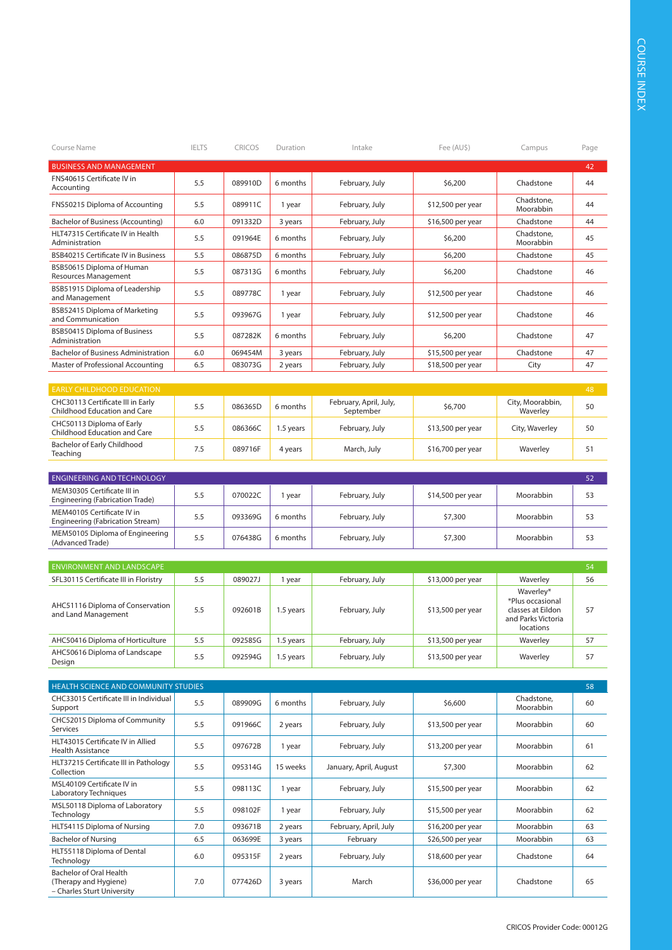| Course Name                                                                    | <b>IELTS</b> | <b>CRICOS</b> | Duration  | Intake                 | Fee (AU\$)        | Campus                                                                   | Page |
|--------------------------------------------------------------------------------|--------------|---------------|-----------|------------------------|-------------------|--------------------------------------------------------------------------|------|
| <b>BUSINESS AND MANAGEMENT</b>                                                 |              |               |           |                        |                   |                                                                          | 42   |
| FNS40615 Certificate IV in<br>Accounting                                       | 5.5          | 089910D       | 6 months  | February, July         | \$6,200           | Chadstone                                                                | 44   |
| FNS50215 Diploma of Accounting                                                 | 5.5          | 089911C       | 1 year    | February, July         | \$12,500 per year | Chadstone,<br>Moorabbin                                                  | 44   |
| Bachelor of Business (Accounting)                                              | 6.0          | 091332D       | 3 years   | February, July         | \$16,500 per year | Chadstone                                                                | 44   |
| HLT47315 Certificate IV in Health<br>Administration                            | 5.5          | 091964E       | 6 months  | February, July         | \$6,200           | Chadstone,<br>Moorabbin                                                  | 45   |
| <b>BSB40215 Certificate IV in Business</b>                                     | 5.5          | 086875D       | 6 months  | February, July         | \$6,200           | Chadstone                                                                | 45   |
| BSB50615 Diploma of Human<br><b>Resources Management</b>                       | 5.5          | 087313G       | 6 months  | February, July         | \$6,200           | Chadstone                                                                | 46   |
| BSB51915 Diploma of Leadership<br>and Management                               | 5.5          | 089778C       | 1 year    | February, July         | \$12,500 per year | Chadstone                                                                | 46   |
| BSB52415 Diploma of Marketing<br>and Communication                             | 5.5          | 093967G       | 1 year    | February, July         | \$12,500 per year | Chadstone                                                                | 46   |
| BSB50415 Diploma of Business<br>Administration                                 | 5.5          | 087282K       | 6 months  | February, July         | \$6,200           | Chadstone                                                                | 47   |
| <b>Bachelor of Business Administration</b>                                     | 6.0          | 069454M       | 3 years   | February, July         | \$15,500 per year | Chadstone                                                                | 47   |
| Master of Professional Accounting                                              | 6.5          | 083073G       | 2 years   | February, July         | \$18,500 per year | City                                                                     | 47   |
|                                                                                |              |               |           |                        |                   |                                                                          |      |
| <b>EARLY CHILDHOOD EDUCATION</b><br>CHC30113 Certificate III in Early          |              |               |           | February, April, July, |                   | City, Moorabbin,                                                         | 48   |
| Childhood Education and Care                                                   | 5.5          | 086365D       | 6 months  | September              | \$6,700           | Waverley                                                                 | 50   |
| CHC50113 Diploma of Early<br>Childhood Education and Care                      | 5.5          | 086366C       | 1.5 years | February, July         | \$13,500 per year | City, Waverley                                                           | 50   |
| Bachelor of Early Childhood<br>Teaching                                        | 7.5          | 089716F       | 4 years   | March, July            | \$16,700 per year | Waverley                                                                 | 51   |
| <b>ENGINEERING AND TECHNOLOGY</b>                                              |              |               |           |                        |                   |                                                                          | 52   |
| MEM30305 Certificate III in<br>Engineering (Fabrication Trade)                 | 5.5          | 070022C       | 1 year    | February, July         | \$14,500 per year | Moorabbin                                                                | 53   |
| MEM40105 Certificate IV in<br>Engineering (Fabrication Stream)                 | 5.5          | 093369G       | 6 months  | February, July         | \$7,300           | Moorabbin                                                                | 53   |
| MEM50105 Diploma of Engineering<br>(Advanced Trade)                            | 5.5          | 076438G       | 6 months  | February, July         | \$7,300           | Moorabbin                                                                | 53   |
|                                                                                |              |               |           |                        |                   |                                                                          |      |
| <b>ENVIRONMENT AND LANDSCAPE</b>                                               |              |               |           |                        |                   |                                                                          | 54   |
| SFL30115 Certificate III in Floristry                                          | 5.5          | 089027J       | 1 year    | February, July         | \$13,000 per year | Waverley<br>Waverley*                                                    | 56   |
| AHC51116 Diploma of Conservation<br>and Land Management                        | 5.5          | 092601B       | 1.5 years | February, July         | \$13,500 per year | *Plus occasional<br>classes at Eildon<br>and Parks Victoria<br>locations | 57   |
| AHC50416 Diploma of Horticulture                                               | 5.5          | 092585G       | 1.5 years | February, July         | \$13,500 per year | Waverley                                                                 | 57   |
| AHC50616 Diploma of Landscape<br>Design                                        | 5.5          | 092594G       | 1.5 years | February, July         | \$13,500 per year | Waverley                                                                 | 57   |
|                                                                                |              |               |           |                        |                   |                                                                          |      |
| HEALTH SCIENCE AND COMMUNITY STUDIES<br>CHC33015 Certificate III in Individual |              |               |           |                        |                   | Chadstone,                                                               | 58   |
| Support                                                                        | 5.5          | 089909G       | 6 months  | February, July         | \$6,600           | Moorabbin                                                                | 60   |
| CHC52015 Diploma of Community<br>Services                                      | 5.5          | 091966C       | 2 years   | February, July         | \$13,500 per year | Moorabbin                                                                | 60   |
| HLT43015 Certificate IV in Allied<br><b>Health Assistance</b>                  | 5.5          | 097672B       | 1 year    | February, July         | \$13,200 per year | Moorabbin                                                                | 61   |
| HLT37215 Certificate III in Pathology<br>Collection                            | 5.5          | 095314G       | 15 weeks  | January, April, August | \$7,300           | Moorabbin                                                                | 62   |
| MSL40109 Certificate IV in<br>Laboratory Techniques                            | 5.5          | 098113C       | 1 year    | February, July         | \$15,500 per year | Moorabbin                                                                | 62   |
| MSL50118 Diploma of Laboratory<br>Technology                                   | 5.5          | 098102F       | 1 year    | February, July         | \$15,500 per year | Moorabbin                                                                | 62   |
| HLT54115 Diploma of Nursing                                                    | 7.0          | 093671B       | 2 years   | February, April, July  | \$16,200 per year | Moorabbin                                                                | 63   |
| <b>Bachelor of Nursing</b>                                                     | 6.5          | 063699E       | 3 years   | February               | \$26,500 per year | Moorabbin                                                                | 63   |
| HLT55118 Diploma of Dental<br>Technology                                       | 6.0          | 095315F       | 2 years   | February, July         | \$18,600 per year | Chadstone                                                                | 64   |
| Bachelor of Oral Health<br>(Therapy and Hygiene)                               | 7.0          | 077426D       | 3 years   | March                  | \$36,000 per year | Chadstone                                                                | 65   |